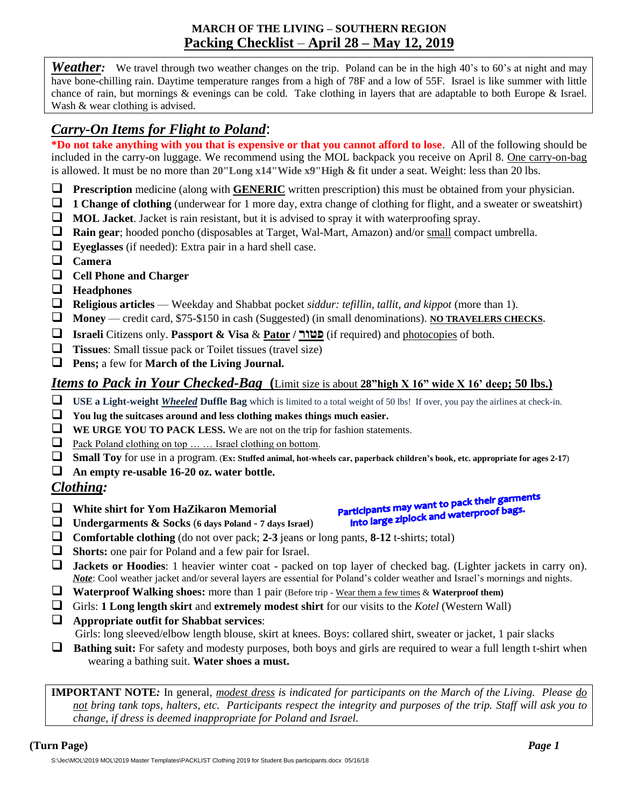### **MARCH OF THE LIVING – SOUTHERN REGION Packing Checklist** – **April 28 – May 12, 2019**

*Weather*: We travel through two weather changes on the trip. Poland can be in the high 40's to 60's at night and may have bone-chilling rain. Daytime temperature ranges from a high of 78F and a low of 55F. Israel is like summer with little chance of rain, but mornings & evenings can be cold. Take clothing in layers that are adaptable to both Europe & Israel. Wash & wear clothing is advised.

# *Carry-On Items for Flight to Poland*:

**\*Do not take anything with you that is expensive or that you cannot afford to lose**. All of the following should be included in the carry-on luggage. We recommend using the MOL backpack you receive on April 8. One carry-on-bag is allowed. It must be no more than **20"Long x14"Wide x9"High** & fit under a seat. Weight: less than 20 lbs.

- **Prescription** medicine (along with **GENERIC** written prescription) this must be obtained from your physician.
- **1 Change of clothing** (underwear for 1 more day, extra change of clothing for flight, and a sweater or sweatshirt)
- **MOL Jacket**. Jacket is rain resistant, but it is advised to spray it with waterproofing spray.
- **Rain gear**; hooded poncho (disposables at Target, Wal-Mart, Amazon) and/or small compact umbrella.
- **Eyeglasses** (if needed): Extra pair in a hard shell case.
- **Camera**
- **Cell Phone and Charger**
- **Headphones**
- **Religious articles** Weekday and Shabbat pocket *siddur: tefillin, tallit, and kippot* (more than 1).
- **Money** credit card, \$75-\$150 in cash (Suggested) (in small denominations). **NO TRAVELERS CHECKS.**
- **Israeli** Citizens only. **Passport & Visa** & **Pator / פטור**) if required) and photocopies of both.
- **Tissues**: Small tissue pack or Toilet tissues (travel size)
- **Pens;** a few for **March of the Living Journal.**

### *Items to Pack in Your Checked-Bag* **(**Limit size is about **28"high X 16" wide X 16' deep; 50 lbs.)**

- **USE a Light-weight** *Wheeled* **Duffle Bag** which is limited to a total weight of 50 lbs! If over, you pay the airlines at check-in.
- **You lug the suitcases around and less clothing makes things much easier.**
- **WE URGE YOU TO PACK LESS.** We are not on the trip for fashion statements.
- Pack Poland clothing on top  $\dots$  is Israel clothing on bottom.
- **Small Toy** for use in a program. (**Ex: Stuffed animal, hot-wheels car, paperback children's book, etc. appropriate for ages 2-17**)
- **An empty re-usable 16-20 oz. water bottle.**

#### *Clothing:*

- **White shirt for Yom HaZikaron Memorial**
- **Undergarments & Socks** (**<sup>6</sup> days Poland 7 days Israel**)
- **Comfortable clothing** (do not over pack; **2-3** jeans or long pants, **8-12** t-shirts; total)
- **Shorts:** one pair for Poland and a few pair for Israel.
- **Jackets or Hoodies**: 1 heavier winter coat packed on top layer of checked bag. (Lighter jackets in carry on). *Note*: Cool weather jacket and/or several layers are essential for Poland's colder weather and Israel's mornings and nights.
- **Waterproof Walking shoes:** more than 1 pair (Before trip Wear them a few times & **Waterproof them)**
- Girls: **1 Long length skirt** and **extremely modest shirt** for our visits to the *Kotel* (Western Wall)
- **Appropriate outfit for Shabbat services**:

Girls: long sleeved/elbow length blouse, skirt at knees. Boys: collared shirt, sweater or jacket, 1 pair slacks

 **Bathing suit:** For safety and modesty purposes, both boys and girls are required to wear a full length t-shirt when wearing a bathing suit. **Water shoes a must.**

**IMPORTANT NOTE***:* In general, *modest dress is indicated for participants on the March of the Living. Please do not bring tank tops, halters, etc. Participants respect the integrity and purposes of the trip. Staff will ask you to change, if dress is deemed inappropriate for Poland and Israel.*

inticipants may want to pack their game.<br>into large ziplock and waterproof bags.

Participants may want to pack their garments<br>Participants may want to pack their garments